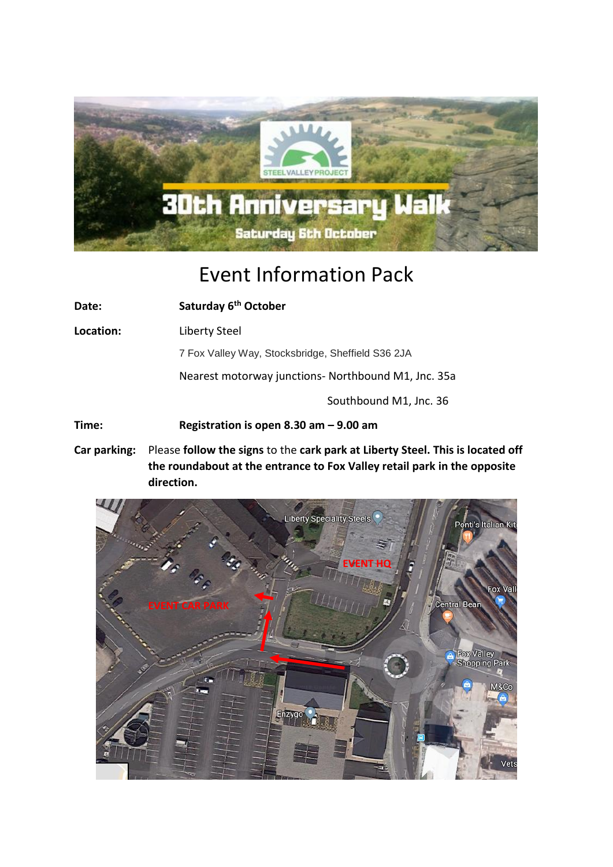

## Event Information Pack

**Date: Saturday 6th October Location:** Liberty Steel 7 Fox Valley Way, Stocksbridge, Sheffield S36 2JA Nearest motorway junctions- Northbound M1, Jnc. 35a Southbound M1, Jnc. 36 **Time: Registration is open 8.30 am – 9.00 am**

**Car parking:** Please **follow the signs** to the **cark park at Liberty Steel. This is located off the roundabout at the entrance to Fox Valley retail park in the opposite direction.**

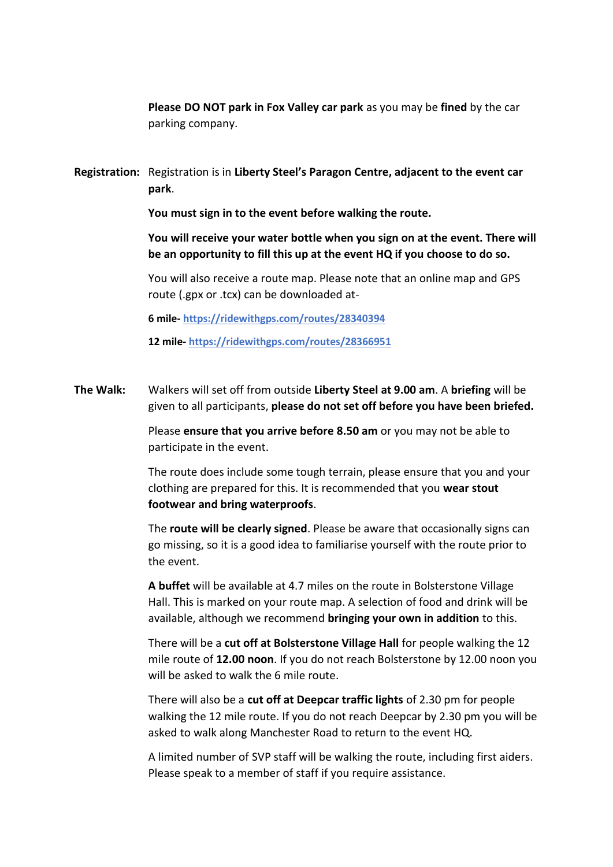**Please DO NOT park in Fox Valley car park** as you may be **fined** by the car parking company.

**Registration:** Registration is in **Liberty Steel's Paragon Centre, adjacent to the event car park**.

**You must sign in to the event before walking the route.**

**You will receive your water bottle when you sign on at the event. There will be an opportunity to fill this up at the event HQ if you choose to do so.**

You will also receive a route map. Please note that an online map and GPS route (.gpx or .tcx) can be downloaded at-

**6 mile- <https://ridewithgps.com/routes/28340394>**

**12 mile- <https://ridewithgps.com/routes/28366951>**

**The Walk:** Walkers will set off from outside **Liberty Steel at 9.00 am**. A **briefing** will be given to all participants, **please do not set off before you have been briefed.**

> Please **ensure that you arrive before 8.50 am** or you may not be able to participate in the event.

The route does include some tough terrain, please ensure that you and your clothing are prepared for this. It is recommended that you **wear stout footwear and bring waterproofs**.

The **route will be clearly signed**. Please be aware that occasionally signs can go missing, so it is a good idea to familiarise yourself with the route prior to the event.

**A buffet** will be available at 4.7 miles on the route in Bolsterstone Village Hall. This is marked on your route map. A selection of food and drink will be available, although we recommend **bringing your own in addition** to this.

There will be a **cut off at Bolsterstone Village Hall** for people walking the 12 mile route of **12.00 noon**. If you do not reach Bolsterstone by 12.00 noon you will be asked to walk the 6 mile route.

There will also be a **cut off at Deepcar traffic lights** of 2.30 pm for people walking the 12 mile route. If you do not reach Deepcar by 2.30 pm you will be asked to walk along Manchester Road to return to the event HQ.

A limited number of SVP staff will be walking the route, including first aiders. Please speak to a member of staff if you require assistance.